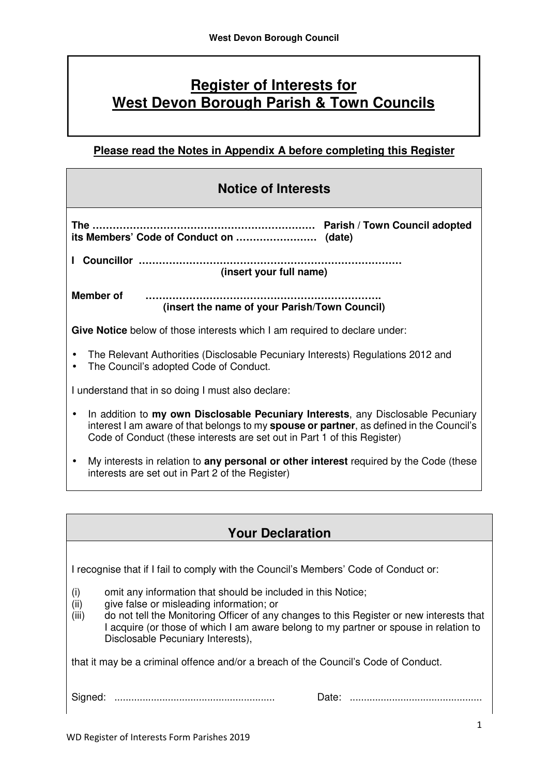# **Register of Interests for West Devon Borough Parish & Town Councils**

## **Please read the Notes in Appendix A before completing this Register**

| <b>Notice of Interests</b>                                                                                                                                                                                                                                                    |  |  |  |  |
|-------------------------------------------------------------------------------------------------------------------------------------------------------------------------------------------------------------------------------------------------------------------------------|--|--|--|--|
|                                                                                                                                                                                                                                                                               |  |  |  |  |
| (insert your full name)                                                                                                                                                                                                                                                       |  |  |  |  |
| Member of<br><br>(insert the name of your Parish/Town Council)                                                                                                                                                                                                                |  |  |  |  |
| Give Notice below of those interests which I am required to declare under:                                                                                                                                                                                                    |  |  |  |  |
| The Relevant Authorities (Disclosable Pecuniary Interests) Regulations 2012 and<br>The Council's adopted Code of Conduct.<br>$\bullet$                                                                                                                                        |  |  |  |  |
| I understand that in so doing I must also declare:                                                                                                                                                                                                                            |  |  |  |  |
| In addition to my own Disclosable Pecuniary Interests, any Disclosable Pecuniary<br>$\bullet$<br>interest I am aware of that belongs to my <b>spouse or partner</b> , as defined in the Council's<br>Code of Conduct (these interests are set out in Part 1 of this Register) |  |  |  |  |
| My interests in relation to any personal or other interest required by the Code (these                                                                                                                                                                                        |  |  |  |  |

• My interests in relation to **any personal or other interest** required by the Code (these interests are set out in Part 2 of the Register)

## **Your Declaration**

I recognise that if I fail to comply with the Council's Members' Code of Conduct or:

- $(i)$ omit any information that should be included in this Notice;
- $(ii)$ give false or misleading information; or
- $(iii)$  I acquire (or those of which I am aware belong to my partner or spouse in relation to Disclosable Pecuniary Interests), do not tell the Monitoring Officer of any changes to this Register or new interests that

that it may be a criminal offence and/or a breach of the Council's Code of Conduct.

Signed: ......................................................... Date: ...............................................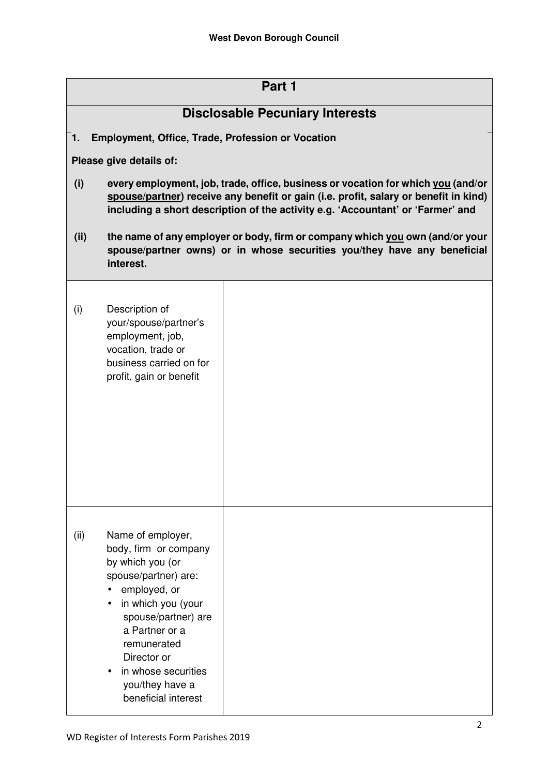| Part 1                                                  |                                                                                                                                                                                                                                                                      |  |  |  |
|---------------------------------------------------------|----------------------------------------------------------------------------------------------------------------------------------------------------------------------------------------------------------------------------------------------------------------------|--|--|--|
| <b>Disclosable Pecuniary Interests</b>                  |                                                                                                                                                                                                                                                                      |  |  |  |
| Employment, Office, Trade, Profession or Vocation<br>1. |                                                                                                                                                                                                                                                                      |  |  |  |
| Please give details of:                                 |                                                                                                                                                                                                                                                                      |  |  |  |
| (i)                                                     | every employment, job, trade, office, business or vocation for which you (and/or<br>spouse/partner) receive any benefit or gain (i.e. profit, salary or benefit in kind)<br>including a short description of the activity e.g. 'Accountant' or 'Farmer' and          |  |  |  |
| (ii)                                                    | the name of any employer or body, firm or company which you own (and/or your<br>spouse/partner owns) or in whose securities you/they have any beneficial<br>interest.                                                                                                |  |  |  |
| (i)                                                     | Description of<br>your/spouse/partner's<br>employment, job,<br>vocation, trade or<br>business carried on for<br>profit, gain or benefit                                                                                                                              |  |  |  |
| (ii)                                                    | Name of employer,<br>body, firm or company<br>by which you (or<br>spouse/partner) are:<br>employed, or<br>in which you (your<br>spouse/partner) are<br>a Partner or a<br>remunerated<br>Director or<br>in whose securities<br>you/they have a<br>beneficial interest |  |  |  |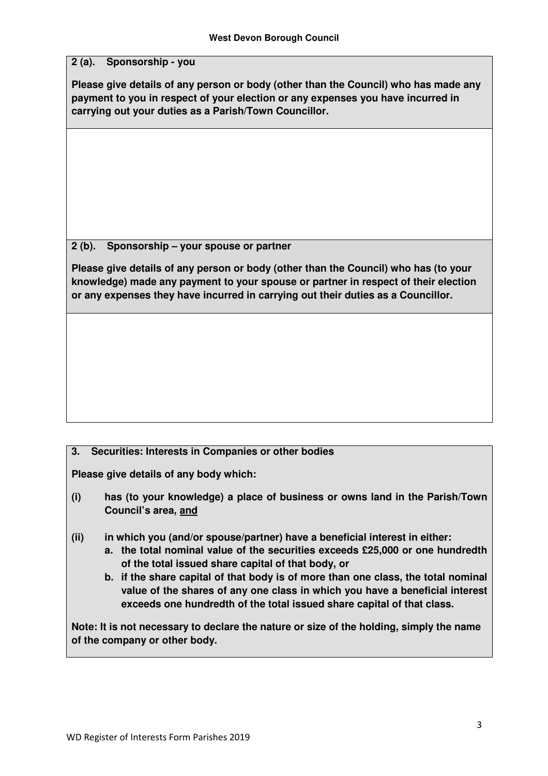### **2 (a). Sponsorship - you**

 **Please give details of any person or body (other than the Council) who has made any payment to you in respect of your election or any expenses you have incurred in carrying out your duties as a Parish/Town Councillor.** 

#### $2(b)$ . **2 (b). Sponsorship – your spouse or partner**

 **Please give details of any person or body (other than the Council) who has (to your knowledge) made any payment to your spouse or partner in respect of their election or any expenses they have incurred in carrying out their duties as a Councillor.** 

#### $3.$ **3. Securities: Interests in Companies or other bodies**

 **Please give details of any body which:** 

- **Council's area, and**  has (to your knowledge) a place of business or owns land in the Parish/Town
- in which you (and/or spouse/partner) have a beneficial interest in either:
	- **a. the total nominal value of the securities exceeds £25,000 or one hundredth of the total issued share capital of that body, or**
	- **b. if the share capital of that body is of more than one class, the total nominal value of the shares of any one class in which you have a beneficial interest exceeds one hundredth of the total issued share capital of that class.**

 **Note: It is not necessary to declare the nature or size of the holding, simply the name of the company or other body.**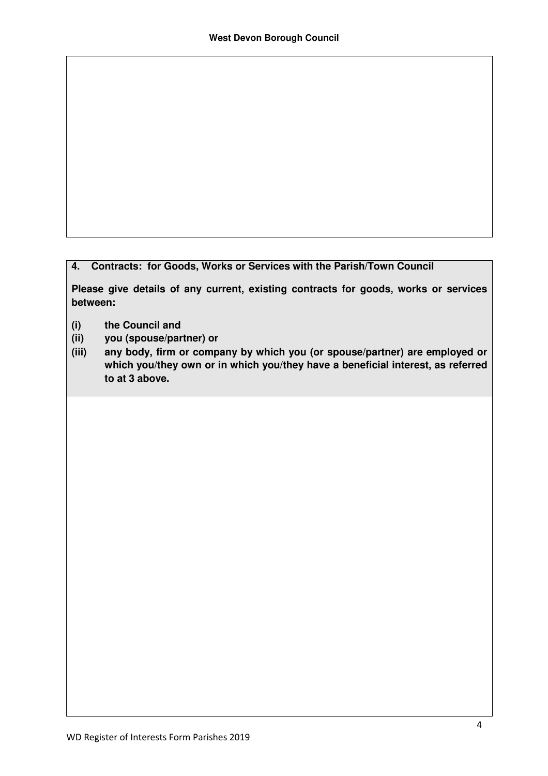#### **4. Contracts: for Goods, Works or Services with the Parish/Town Council**

 **Please give details of any current, existing contracts for goods, works or services between:** 

- **(i) the Council and**
- **(ii) you (spouse/partner) or**
- **which you/they own or in which you/they have a beneficial interest, as referred to at 3 above.**  any body, firm or company by which you (or spouse/partner) are employed or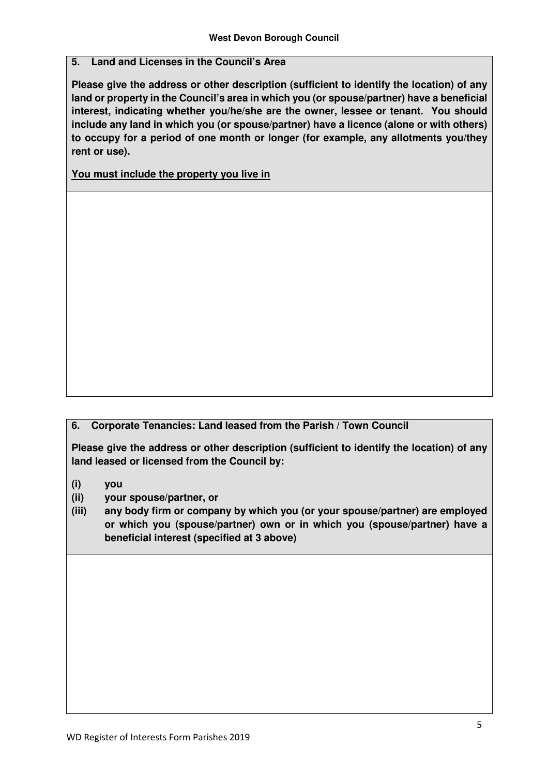#### **5. Land and Licenses in the Council's Area**

 **Please give the address or other description (sufficient to identify the location) of any land or property in the Council's area in which you (or spouse/partner) have a beneficial interest, indicating whether you/he/she are the owner, lessee or tenant. You should include any land in which you (or spouse/partner) have a licence (alone or with others) to occupy for a period of one month or longer (for example, any allotments you/they rent or use).** 

 **You must include the property you live in** 

 **6. Corporate Tenancies: Land leased from the Parish / Town Council** 

 **Please give the address or other description (sufficient to identify the location) of any land leased or licensed from the Council by:** 

- **(i) you**
- **(ii) your spouse/partner, or**
- **or which you (spouse/partner) own or in which you (spouse/partner) have a beneficial interest (specified at 3 above)**  any body firm or company by which you (or your spouse/partner) are employed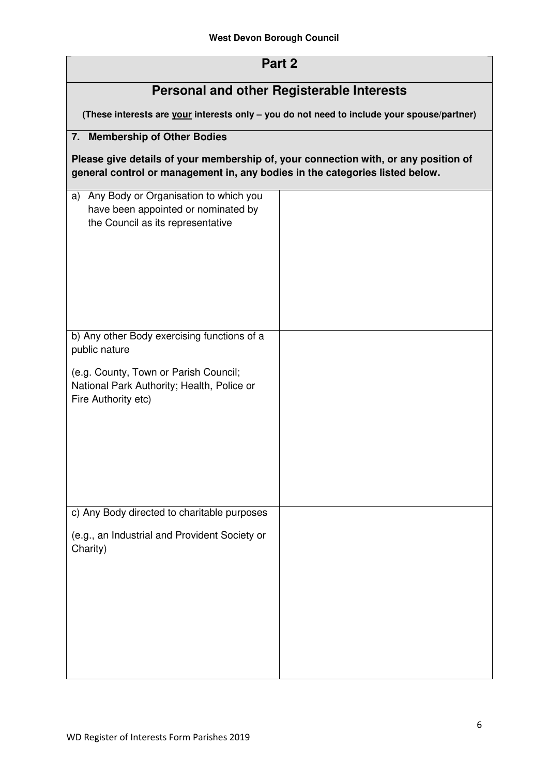## **Part 2**

## **Personal and other Registerable Interests**

**(These interests are your interests only – you do not need to include your spouse/partner)** 

### **7. Membership of Other Bodies**

**Please give details of your membership of, your connection with, or any position of general control or management in, any bodies in the categories listed below.** 

| Any Body or Organisation to which you<br>a)<br>have been appointed or nominated by<br>the Council as its representative |  |
|-------------------------------------------------------------------------------------------------------------------------|--|
| b) Any other Body exercising functions of a                                                                             |  |
| public nature                                                                                                           |  |
| (e.g. County, Town or Parish Council;<br>National Park Authority; Health, Police or<br>Fire Authority etc)              |  |
| c) Any Body directed to charitable purposes                                                                             |  |
| (e.g., an Industrial and Provident Society or<br>Charity)                                                               |  |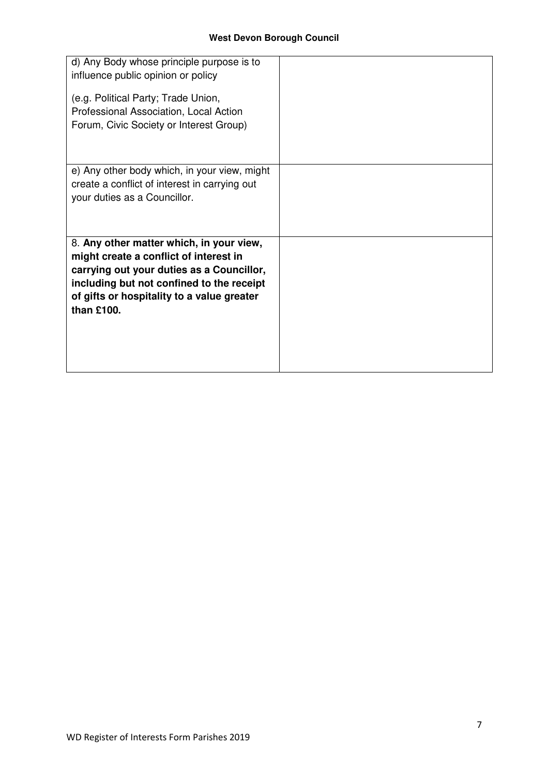| d) Any Body whose principle purpose is to                                           |  |
|-------------------------------------------------------------------------------------|--|
| influence public opinion or policy                                                  |  |
| (e.g. Political Party; Trade Union,                                                 |  |
| Professional Association, Local Action                                              |  |
| Forum, Civic Society or Interest Group)                                             |  |
|                                                                                     |  |
|                                                                                     |  |
| e) Any other body which, in your view, might                                        |  |
| create a conflict of interest in carrying out                                       |  |
| your duties as a Councillor.                                                        |  |
|                                                                                     |  |
|                                                                                     |  |
| 8. Any other matter which, in your view,                                            |  |
| might create a conflict of interest in<br>carrying out your duties as a Councillor, |  |
| including but not confined to the receipt                                           |  |
| of gifts or hospitality to a value greater                                          |  |
| than £100.                                                                          |  |
|                                                                                     |  |
|                                                                                     |  |
|                                                                                     |  |
|                                                                                     |  |